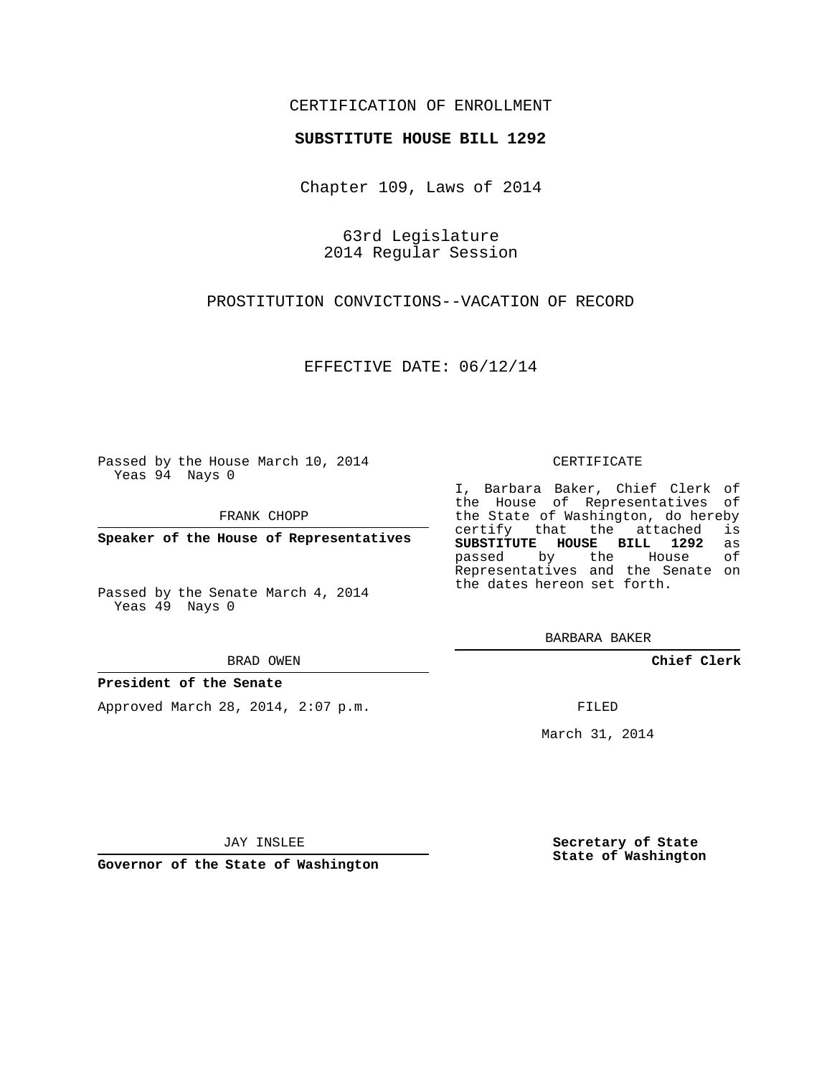# CERTIFICATION OF ENROLLMENT

## **SUBSTITUTE HOUSE BILL 1292**

Chapter 109, Laws of 2014

63rd Legislature 2014 Regular Session

PROSTITUTION CONVICTIONS--VACATION OF RECORD

EFFECTIVE DATE: 06/12/14

Passed by the House March 10, 2014 Yeas 94 Nays 0

FRANK CHOPP

**Speaker of the House of Representatives**

Passed by the Senate March 4, 2014 Yeas 49 Nays 0

BRAD OWEN

### **President of the Senate**

Approved March 28, 2014, 2:07 p.m.

CERTIFICATE

I, Barbara Baker, Chief Clerk of the House of Representatives of the State of Washington, do hereby<br>certify that the attached is certify that the attached **SUBSTITUTE HOUSE BILL 1292** as passed by the Representatives and the Senate on the dates hereon set forth.

BARBARA BAKER

**Chief Clerk**

FILED

March 31, 2014

JAY INSLEE

**Governor of the State of Washington**

**Secretary of State State of Washington**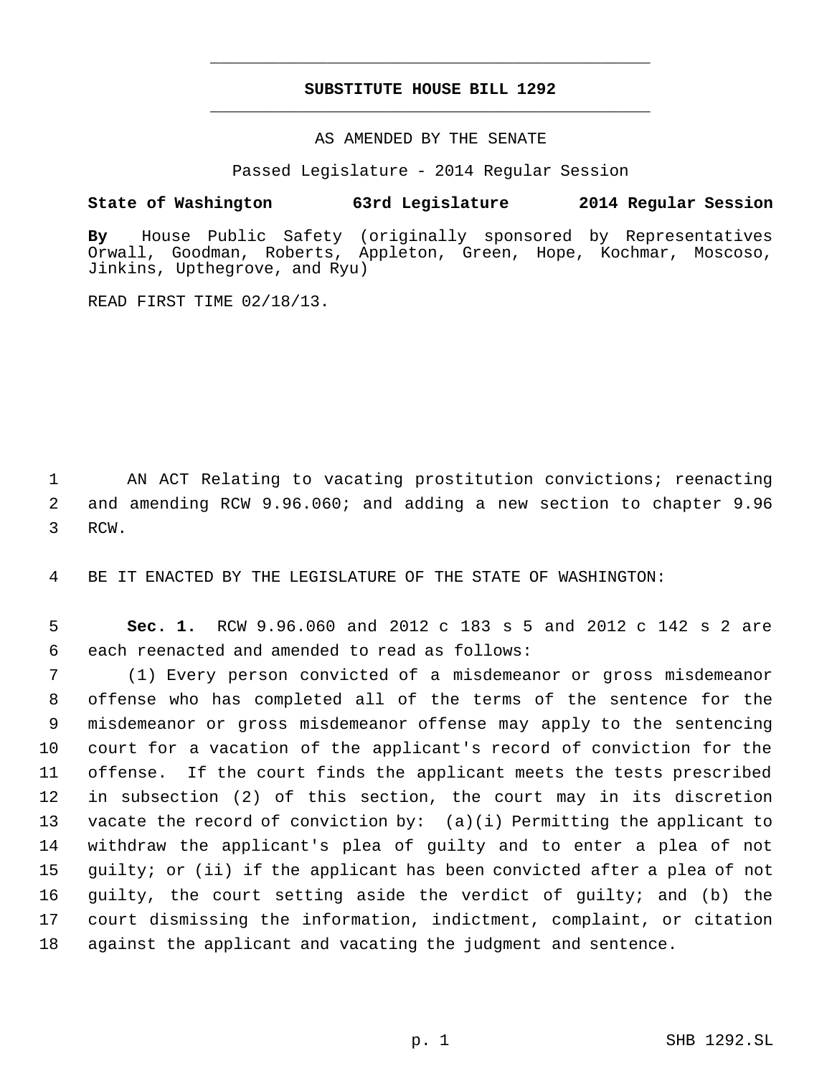# **SUBSTITUTE HOUSE BILL 1292** \_\_\_\_\_\_\_\_\_\_\_\_\_\_\_\_\_\_\_\_\_\_\_\_\_\_\_\_\_\_\_\_\_\_\_\_\_\_\_\_\_\_\_\_\_

\_\_\_\_\_\_\_\_\_\_\_\_\_\_\_\_\_\_\_\_\_\_\_\_\_\_\_\_\_\_\_\_\_\_\_\_\_\_\_\_\_\_\_\_\_

## AS AMENDED BY THE SENATE

Passed Legislature - 2014 Regular Session

# **State of Washington 63rd Legislature 2014 Regular Session**

**By** House Public Safety (originally sponsored by Representatives Orwall, Goodman, Roberts, Appleton, Green, Hope, Kochmar, Moscoso, Jinkins, Upthegrove, and Ryu)

READ FIRST TIME 02/18/13.

 AN ACT Relating to vacating prostitution convictions; reenacting and amending RCW 9.96.060; and adding a new section to chapter 9.96 RCW.

BE IT ENACTED BY THE LEGISLATURE OF THE STATE OF WASHINGTON:

 **Sec. 1.** RCW 9.96.060 and 2012 c 183 s 5 and 2012 c 142 s 2 are each reenacted and amended to read as follows:

 (1) Every person convicted of a misdemeanor or gross misdemeanor offense who has completed all of the terms of the sentence for the misdemeanor or gross misdemeanor offense may apply to the sentencing court for a vacation of the applicant's record of conviction for the offense. If the court finds the applicant meets the tests prescribed in subsection (2) of this section, the court may in its discretion vacate the record of conviction by: (a)(i) Permitting the applicant to withdraw the applicant's plea of guilty and to enter a plea of not guilty; or (ii) if the applicant has been convicted after a plea of not guilty, the court setting aside the verdict of guilty; and (b) the court dismissing the information, indictment, complaint, or citation against the applicant and vacating the judgment and sentence.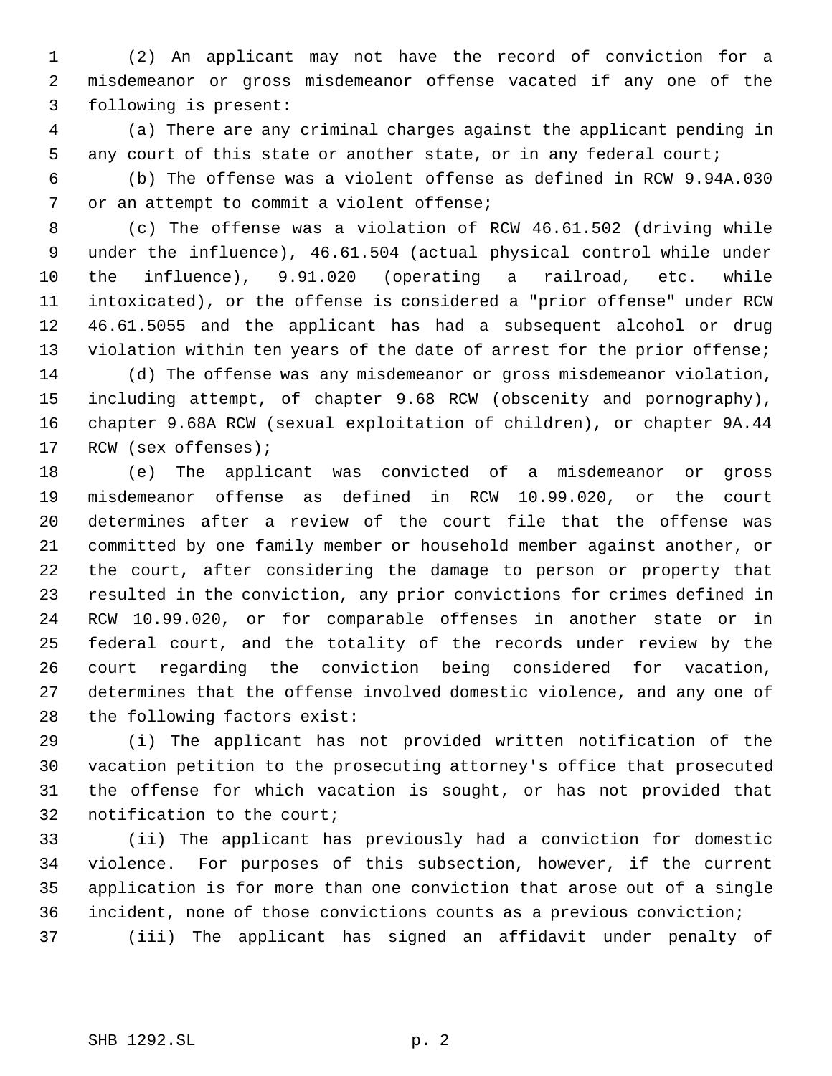(2) An applicant may not have the record of conviction for a misdemeanor or gross misdemeanor offense vacated if any one of the following is present:

 (a) There are any criminal charges against the applicant pending in any court of this state or another state, or in any federal court;

 (b) The offense was a violent offense as defined in RCW 9.94A.030 or an attempt to commit a violent offense;

 (c) The offense was a violation of RCW 46.61.502 (driving while under the influence), 46.61.504 (actual physical control while under the influence), 9.91.020 (operating a railroad, etc. while intoxicated), or the offense is considered a "prior offense" under RCW 46.61.5055 and the applicant has had a subsequent alcohol or drug 13 violation within ten years of the date of arrest for the prior offense; (d) The offense was any misdemeanor or gross misdemeanor violation,

 including attempt, of chapter 9.68 RCW (obscenity and pornography), chapter 9.68A RCW (sexual exploitation of children), or chapter 9A.44 RCW (sex offenses);

 (e) The applicant was convicted of a misdemeanor or gross misdemeanor offense as defined in RCW 10.99.020, or the court determines after a review of the court file that the offense was committed by one family member or household member against another, or the court, after considering the damage to person or property that resulted in the conviction, any prior convictions for crimes defined in RCW 10.99.020, or for comparable offenses in another state or in federal court, and the totality of the records under review by the court regarding the conviction being considered for vacation, determines that the offense involved domestic violence, and any one of the following factors exist:

 (i) The applicant has not provided written notification of the vacation petition to the prosecuting attorney's office that prosecuted the offense for which vacation is sought, or has not provided that notification to the court;

 (ii) The applicant has previously had a conviction for domestic violence. For purposes of this subsection, however, if the current application is for more than one conviction that arose out of a single incident, none of those convictions counts as a previous conviction; (iii) The applicant has signed an affidavit under penalty of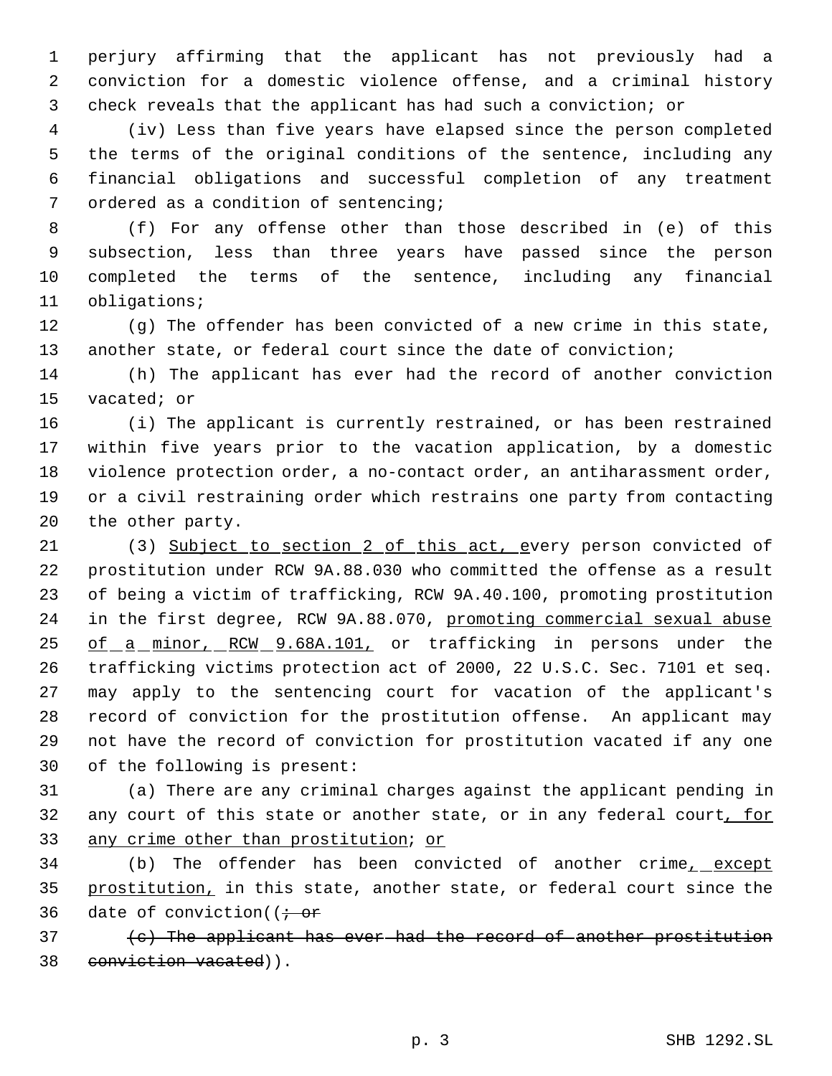perjury affirming that the applicant has not previously had a conviction for a domestic violence offense, and a criminal history check reveals that the applicant has had such a conviction; or

 (iv) Less than five years have elapsed since the person completed the terms of the original conditions of the sentence, including any financial obligations and successful completion of any treatment ordered as a condition of sentencing;

 (f) For any offense other than those described in (e) of this subsection, less than three years have passed since the person completed the terms of the sentence, including any financial obligations;

 (g) The offender has been convicted of a new crime in this state, another state, or federal court since the date of conviction;

 (h) The applicant has ever had the record of another conviction vacated; or

 (i) The applicant is currently restrained, or has been restrained within five years prior to the vacation application, by a domestic violence protection order, a no-contact order, an antiharassment order, or a civil restraining order which restrains one party from contacting the other party.

21 (3) Subject to section 2 of this act, every person convicted of prostitution under RCW 9A.88.030 who committed the offense as a result of being a victim of trafficking, RCW 9A.40.100, promoting prostitution in the first degree, RCW 9A.88.070, promoting commercial sexual abuse 25 of a minor, RCW 9.68A.101, or trafficking in persons under the trafficking victims protection act of 2000, 22 U.S.C. Sec. 7101 et seq. may apply to the sentencing court for vacation of the applicant's record of conviction for the prostitution offense. An applicant may not have the record of conviction for prostitution vacated if any one of the following is present:

 (a) There are any criminal charges against the applicant pending in 32 any court of this state or another state, or in any federal court, for any crime other than prostitution; or

34 (b) The offender has been convicted of another crime<sub>r</sub> except 35 prostitution, in this state, another state, or federal court since the 36 date of conviction( $\ddot{\textbf{i}}$ 

 $\{c\}$  The applicant has ever had the record of another prostitution 38 conviction vacated)).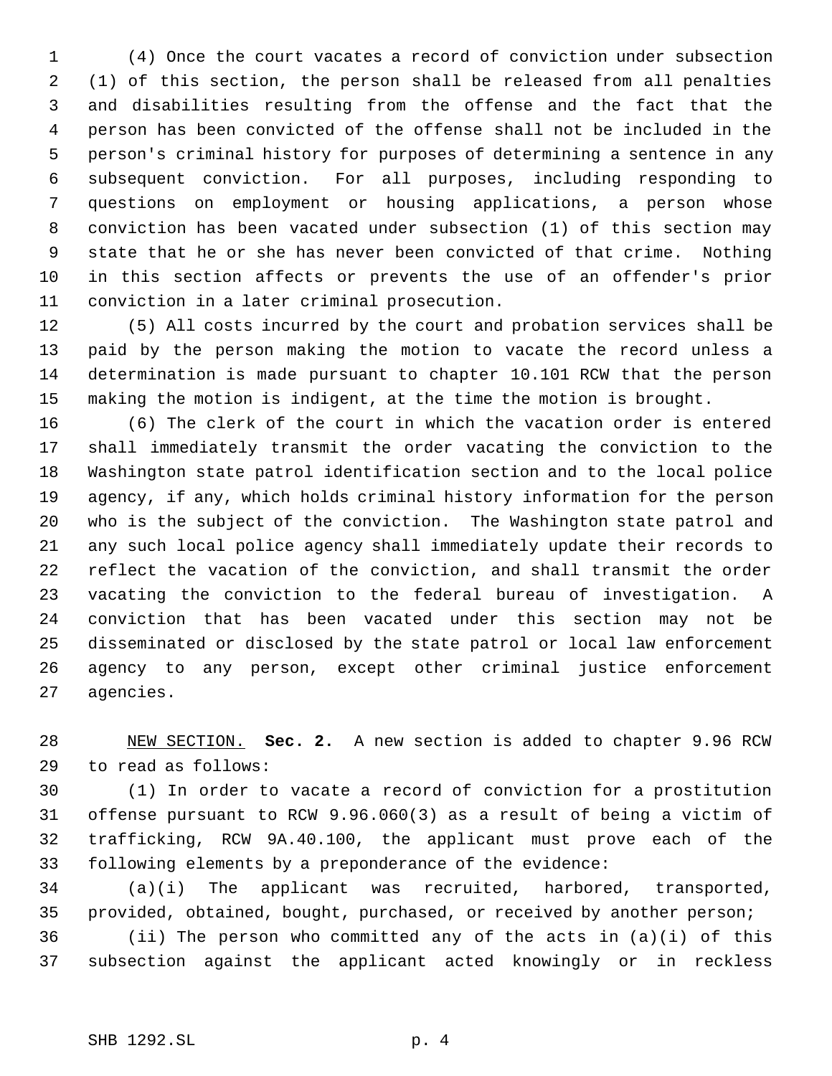(4) Once the court vacates a record of conviction under subsection (1) of this section, the person shall be released from all penalties and disabilities resulting from the offense and the fact that the person has been convicted of the offense shall not be included in the person's criminal history for purposes of determining a sentence in any subsequent conviction. For all purposes, including responding to questions on employment or housing applications, a person whose conviction has been vacated under subsection (1) of this section may state that he or she has never been convicted of that crime. Nothing in this section affects or prevents the use of an offender's prior conviction in a later criminal prosecution.

 (5) All costs incurred by the court and probation services shall be paid by the person making the motion to vacate the record unless a determination is made pursuant to chapter 10.101 RCW that the person making the motion is indigent, at the time the motion is brought.

 (6) The clerk of the court in which the vacation order is entered shall immediately transmit the order vacating the conviction to the Washington state patrol identification section and to the local police agency, if any, which holds criminal history information for the person who is the subject of the conviction. The Washington state patrol and any such local police agency shall immediately update their records to reflect the vacation of the conviction, and shall transmit the order vacating the conviction to the federal bureau of investigation. A conviction that has been vacated under this section may not be disseminated or disclosed by the state patrol or local law enforcement agency to any person, except other criminal justice enforcement agencies.

 NEW SECTION. **Sec. 2.** A new section is added to chapter 9.96 RCW to read as follows:

 (1) In order to vacate a record of conviction for a prostitution offense pursuant to RCW 9.96.060(3) as a result of being a victim of trafficking, RCW 9A.40.100, the applicant must prove each of the following elements by a preponderance of the evidence:

 (a)(i) The applicant was recruited, harbored, transported, provided, obtained, bought, purchased, or received by another person;

 (ii) The person who committed any of the acts in (a)(i) of this subsection against the applicant acted knowingly or in reckless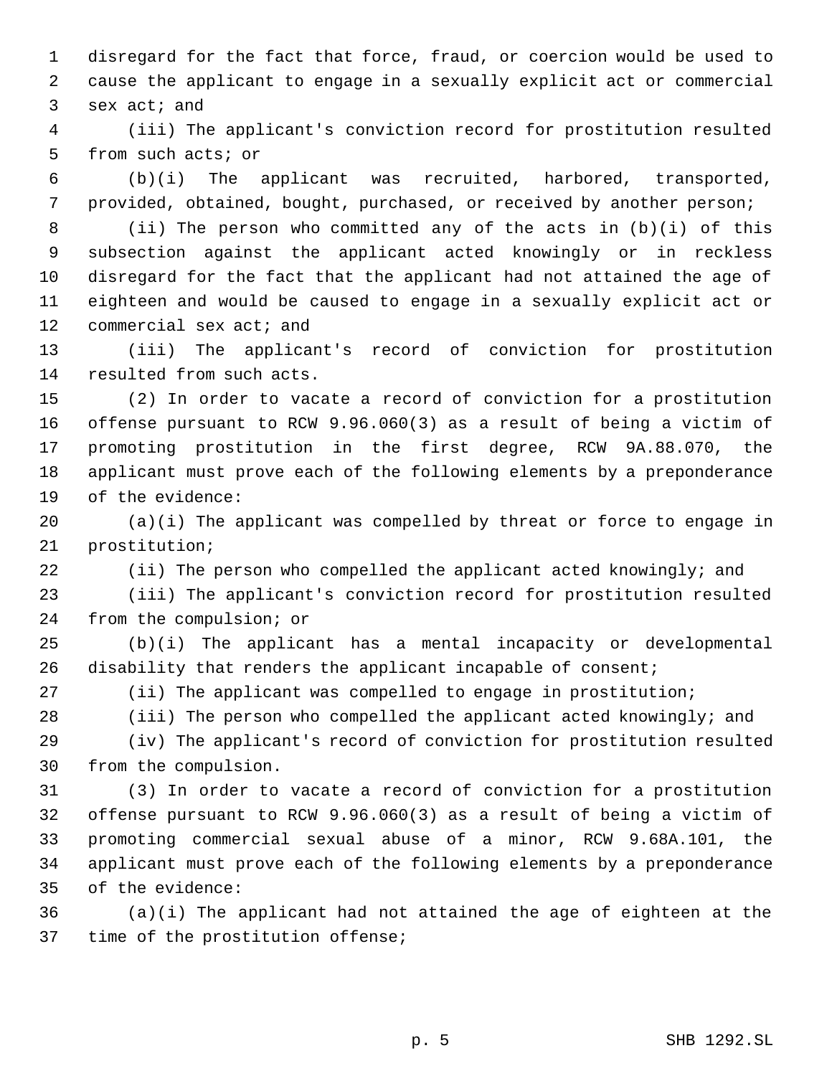disregard for the fact that force, fraud, or coercion would be used to cause the applicant to engage in a sexually explicit act or commercial sex act; and

 (iii) The applicant's conviction record for prostitution resulted from such acts; or

 (b)(i) The applicant was recruited, harbored, transported, provided, obtained, bought, purchased, or received by another person;

 (ii) The person who committed any of the acts in (b)(i) of this subsection against the applicant acted knowingly or in reckless disregard for the fact that the applicant had not attained the age of eighteen and would be caused to engage in a sexually explicit act or 12 commercial sex act; and

 (iii) The applicant's record of conviction for prostitution resulted from such acts.

 (2) In order to vacate a record of conviction for a prostitution offense pursuant to RCW 9.96.060(3) as a result of being a victim of promoting prostitution in the first degree, RCW 9A.88.070, the applicant must prove each of the following elements by a preponderance of the evidence:

 (a)(i) The applicant was compelled by threat or force to engage in prostitution;

(ii) The person who compelled the applicant acted knowingly; and

 (iii) The applicant's conviction record for prostitution resulted from the compulsion; or

 (b)(i) The applicant has a mental incapacity or developmental 26 disability that renders the applicant incapable of consent;

(ii) The applicant was compelled to engage in prostitution;

(iii) The person who compelled the applicant acted knowingly; and

 (iv) The applicant's record of conviction for prostitution resulted from the compulsion.

 (3) In order to vacate a record of conviction for a prostitution offense pursuant to RCW 9.96.060(3) as a result of being a victim of promoting commercial sexual abuse of a minor, RCW 9.68A.101, the applicant must prove each of the following elements by a preponderance of the evidence:

 (a)(i) The applicant had not attained the age of eighteen at the time of the prostitution offense;